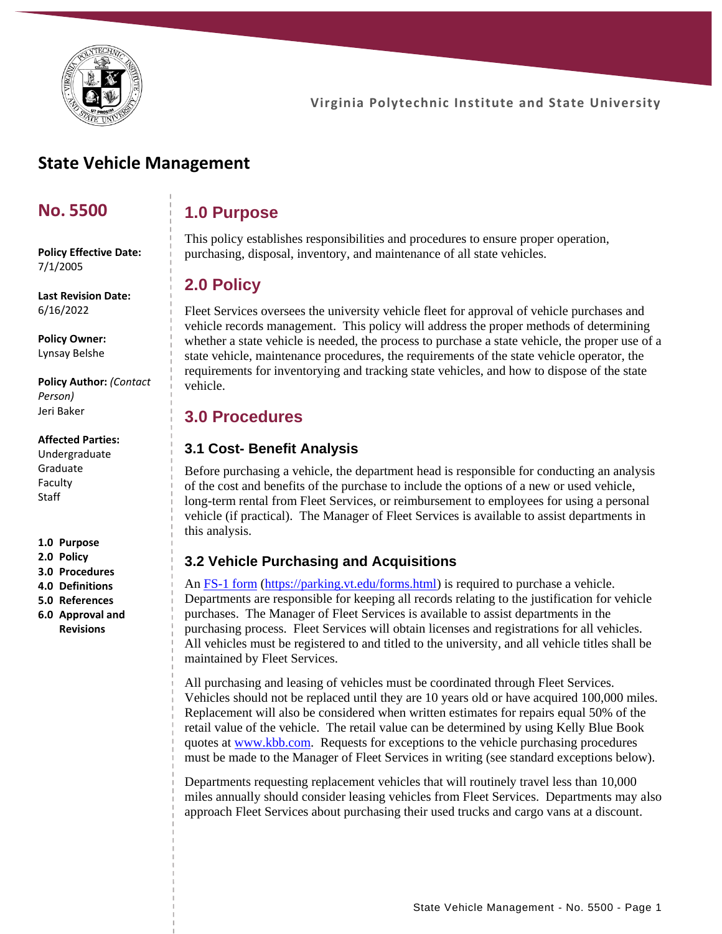

# **State Vehicle Management**

### **No. 5500**

**1.0 Purpose**

This policy establishes responsibilities and procedures to ensure proper operation, purchasing, disposal, inventory, and maintenance of all state vehicles.

# **2.0 Policy**

Fleet Services oversees the university vehicle fleet for approval of vehicle purchases and vehicle records management. This policy will address the proper methods of determining whether a state vehicle is needed, the process to purchase a state vehicle, the proper use of a state vehicle, maintenance procedures, the requirements of the state vehicle operator, the requirements for inventorying and tracking state vehicles, and how to dispose of the state vehicle.

### **3.0 Procedures**

### **3.1 Cost- Benefit Analysis**

Before purchasing a vehicle, the department head is responsible for conducting an analysis of the cost and benefits of the purchase to include the options of a new or used vehicle, long-term rental from Fleet Services, or reimbursement to employees for using a personal vehicle (if practical). The Manager of Fleet Services is available to assist departments in this analysis.

### **3.2 Vehicle Purchasing and Acquisitions**

An [FS-1 form](file:///C:/Users/deeh/Downloads/FS1%20-%20Vehicle%20Purchase%20Request%20Form.pdf) [\(https://parking.vt.edu/forms.html\)](https://parking.vt.edu/forms.html) is required to purchase a vehicle. Departments are responsible for keeping all records relating to the justification for vehicle purchases. The Manager of Fleet Services is available to assist departments in the purchasing process. Fleet Services will obtain licenses and registrations for all vehicles. All vehicles must be registered to and titled to the university, and all vehicle titles shall be maintained by Fleet Services.

All purchasing and leasing of vehicles must be coordinated through Fleet Services. Vehicles should not be replaced until they are 10 years old or have acquired 100,000 miles. Replacement will also be considered when written estimates for repairs equal 50% of the retail value of the vehicle. The retail value can be determined by using Kelly Blue Book quotes at [www.kbb.com.](http://www.kbb.com/) Requests for exceptions to the vehicle purchasing procedures must be made to the Manager of Fleet Services in writing (see standard exceptions below).

Departments requesting replacement vehicles that will routinely travel less than 10,000 miles annually should consider leasing vehicles from Fleet Services. Departments may also approach Fleet Services about purchasing their used trucks and cargo vans at a discount.

**Policy Effective Date:** 7/1/2005

**Last Revision Date:** 6/16/2022

**Policy Owner:** Lynsay Belshe

**Policy Author:** *(Contact Person)* Jeri Baker

#### **Affected Parties:**

Undergraduate Graduate Faculty Staff

**1.0 Purpose**

- **2.0 Policy**
- **3.0 Procedures**
- **4.0 Definitions**
- **5.0 References 6.0 Approval and Revisions**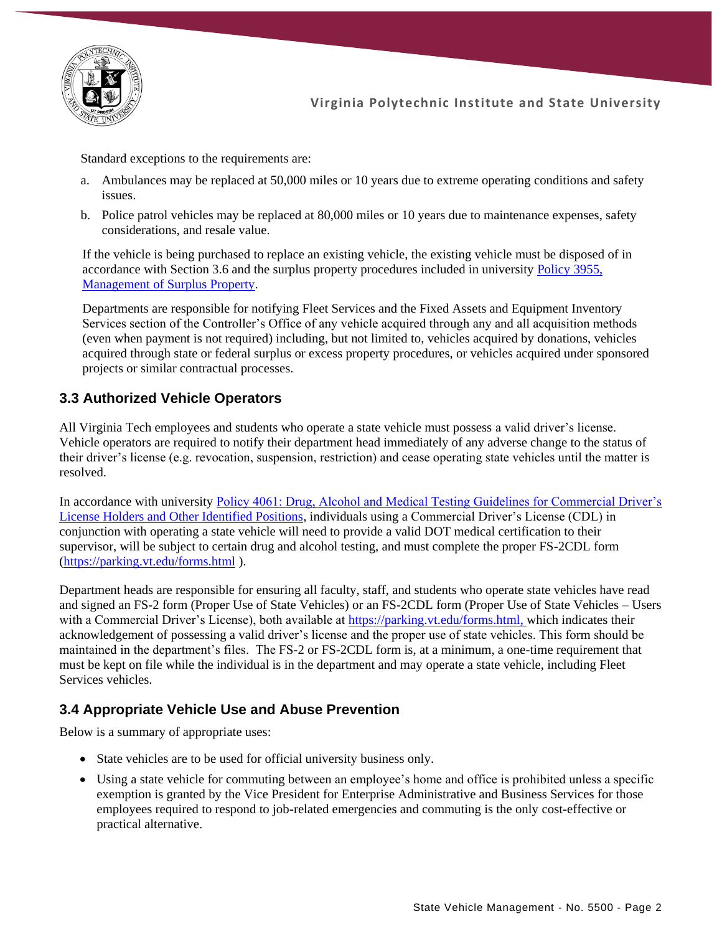

Standard exceptions to the requirements are:

- a. Ambulances may be replaced at 50,000 miles or 10 years due to extreme operating conditions and safety issues.
- b. Police patrol vehicles may be replaced at 80,000 miles or 10 years due to maintenance expenses, safety considerations, and resale value.

If the vehicle is being purchased to replace an existing vehicle, the existing vehicle must be disposed of in accordance with Section 3.6 and the surplus property procedures included in university [Policy 3955,](https://policies.vt.edu/assets/3955.pdf)  [Management of Surplus Property.](https://policies.vt.edu/assets/3955.pdf)

Departments are responsible for notifying Fleet Services and the Fixed Assets and Equipment Inventory Services section of the Controller's Office of any vehicle acquired through any and all acquisition methods (even when payment is not required) including, but not limited to, vehicles acquired by donations, vehicles acquired through state or federal surplus or excess property procedures, or vehicles acquired under sponsored projects or similar contractual processes.

### **3.3 Authorized Vehicle Operators**

All Virginia Tech employees and students who operate a state vehicle must possess a valid driver's license. Vehicle operators are required to notify their department head immediately of any adverse change to the status of their driver's license (e.g. revocation, suspension, restriction) and cease operating state vehicles until the matter is resolved.

In accordance with university [Policy 4061: Drug, Alcohol and Medical Testing Guidelines for Commercial Driver's](https://policies.vt.edu/assets/4061.pdf)  [License Holders and Other Identified Positions,](https://policies.vt.edu/assets/4061.pdf) individuals using a Commercial Driver's License (CDL) in conjunction with operating a state vehicle will need to provide a valid DOT medical certification to their supervisor, will be subject to certain drug and alcohol testing, and must complete the proper FS-2CDL form [\(https://parking.vt.edu/forms.html](https://parking.vt.edu/forms.html) ).

Department heads are responsible for ensuring all faculty, staff, and students who operate state vehicles have read and signed an FS-2 form (Proper Use of State Vehicles) or an FS-2CDL form (Proper Use of State Vehicles – Users with a Commercial Driver's License), both available at [https://parking.vt.edu/forms.html,](https://parking.vt.edu/forms.html) which indicates their acknowledgement of possessing a valid driver's license and the proper use of state vehicles. This form should be maintained in the department's files. The FS-2 or FS-2CDL form is, at a minimum, a one-time requirement that must be kept on file while the individual is in the department and may operate a state vehicle, including Fleet Services vehicles.

### **3.4 Appropriate Vehicle Use and Abuse Prevention**

Below is a summary of appropriate uses:

- State vehicles are to be used for official university business only.
- Using a state vehicle for commuting between an employee's home and office is prohibited unless a specific exemption is granted by the Vice President for Enterprise Administrative and Business Services for those employees required to respond to job-related emergencies and commuting is the only cost-effective or practical alternative.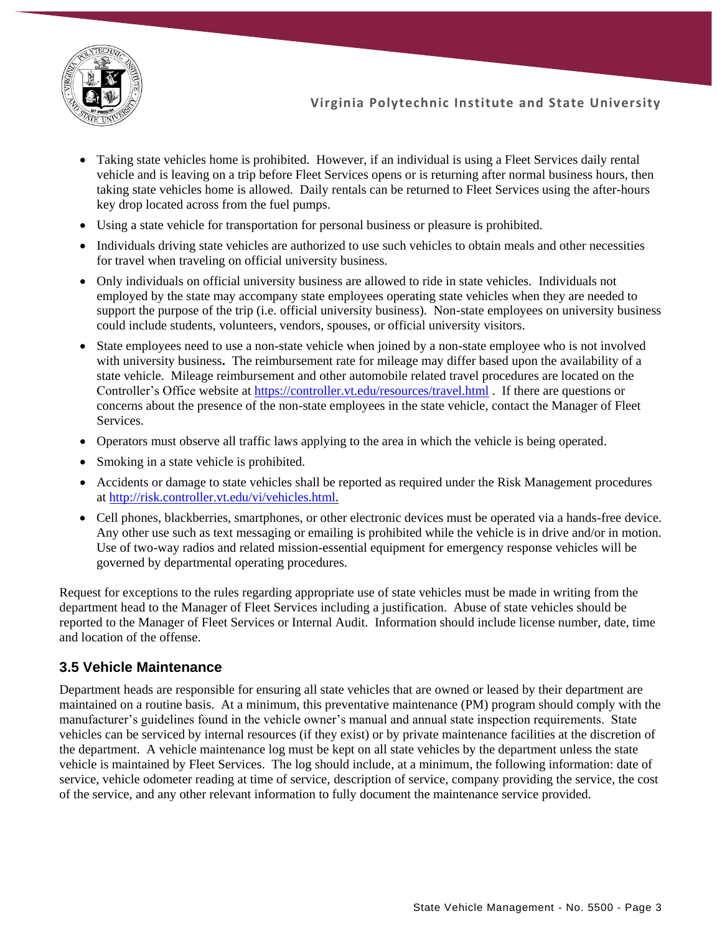

- Taking state vehicles home is prohibited. However, if an individual is using a Fleet Services daily rental vehicle and is leaving on a trip before Fleet Services opens or is returning after normal business hours, then taking state vehicles home is allowed. Daily rentals can be returned to Fleet Services using the after-hours key drop located across from the fuel pumps.
- Using a state vehicle for transportation for personal business or pleasure is prohibited.
- Individuals driving state vehicles are authorized to use such vehicles to obtain meals and other necessities for travel when traveling on official university business.
- Only individuals on official university business are allowed to ride in state vehicles. Individuals not employed by the state may accompany state employees operating state vehicles when they are needed to support the purpose of the trip (i.e. official university business). Non-state employees on university business could include students, volunteers, vendors, spouses, or official university visitors.
- State employees need to use a non-state vehicle when joined by a non-state employee who is not involved with university business**.** The reimbursement rate for mileage may differ based upon the availability of a state vehicle. Mileage reimbursement and other automobile related travel procedures are located on the Controller's Office website at<https://controller.vt.edu/resources/travel.html> . If there are questions or concerns about the presence of the non-state employees in the state vehicle, contact the Manager of Fleet Services.
- Operators must observe all traffic laws applying to the area in which the vehicle is being operated.
- Smoking in a state vehicle is prohibited.
- Accidents or damage to state vehicles shall be reported as required under the Risk Management procedures at [http://risk.controller.vt.edu/vi/vehicles.html.](http://risk.controller.vt.edu/vi/vehicles.html)
- Cell phones, blackberries, smartphones, or other electronic devices must be operated via a hands-free device. Any other use such as text messaging or emailing is prohibited while the vehicle is in drive and/or in motion. Use of two-way radios and related mission-essential equipment for emergency response vehicles will be governed by departmental operating procedures.

Request for exceptions to the rules regarding appropriate use of state vehicles must be made in writing from the department head to the Manager of Fleet Services including a justification. Abuse of state vehicles should be reported to the Manager of Fleet Services or Internal Audit. Information should include license number, date, time and location of the offense.

### **3.5 Vehicle Maintenance**

Department heads are responsible for ensuring all state vehicles that are owned or leased by their department are maintained on a routine basis. At a minimum, this preventative maintenance (PM) program should comply with the manufacturer's guidelines found in the vehicle owner's manual and annual state inspection requirements. State vehicles can be serviced by internal resources (if they exist) or by private maintenance facilities at the discretion of the department. A vehicle maintenance log must be kept on all state vehicles by the department unless the state vehicle is maintained by Fleet Services. The log should include, at a minimum, the following information: date of service, vehicle odometer reading at time of service, description of service, company providing the service, the cost of the service, and any other relevant information to fully document the maintenance service provided.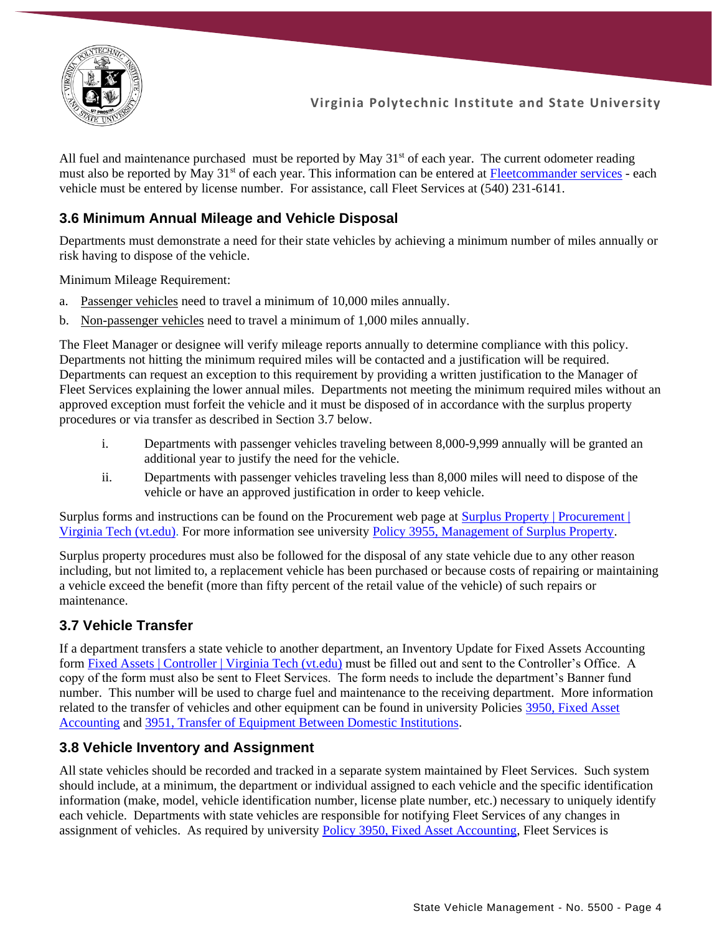

All fuel and maintenance purchased must be reported by May  $31<sup>st</sup>$  of each year. The current odometer reading must also be reported by May 31<sup>st</sup> of each year. This information can be entered at [Fleetcommander services](https://forms.gle/LnWsNhSKcsfynShc6) - each vehicle must be entered by license number. For assistance, call Fleet Services at (540) 231-6141.

### **3.6 Minimum Annual Mileage and Vehicle Disposal**

Departments must demonstrate a need for their state vehicles by achieving a minimum number of miles annually or risk having to dispose of the vehicle.

Minimum Mileage Requirement:

- a. Passenger vehicles need to travel a minimum of 10,000 miles annually.
- b. Non-passenger vehicles need to travel a minimum of 1,000 miles annually.

The Fleet Manager or designee will verify mileage reports annually to determine compliance with this policy. Departments not hitting the minimum required miles will be contacted and a justification will be required. Departments can request an exception to this requirement by providing a written justification to the Manager of Fleet Services explaining the lower annual miles. Departments not meeting the minimum required miles without an approved exception must forfeit the vehicle and it must be disposed of in accordance with the surplus property procedures or via transfer as described in Section 3.7 below.

- i. Departments with passenger vehicles traveling between 8,000-9,999 annually will be granted an additional year to justify the need for the vehicle.
- ii. Departments with passenger vehicles traveling less than 8,000 miles will need to dispose of the vehicle or have an approved justification in order to keep vehicle.

Surplus forms and instructions can be found on the Procurement web page at [Surplus Property | Procurement |](https://www.procurement.vt.edu/surplusproperty.html)  [Virginia Tech \(vt.edu\).](https://www.procurement.vt.edu/surplusproperty.html) For more information see university [Policy 3955, Management of Surplus Property.](https://policies.vt.edu/assets/3955.pdf)

Surplus property procedures must also be followed for the disposal of any state vehicle due to any other reason including, but not limited to, a replacement vehicle has been purchased or because costs of repairing or maintaining a vehicle exceed the benefit (more than fifty percent of the retail value of the vehicle) of such repairs or maintenance.

### **3.7 Vehicle Transfer**

If a department transfers a state vehicle to another department, an Inventory Update for Fixed Assets Accounting form [Fixed Assets | Controller | Virginia Tech \(vt.edu\)](https://www.controller.vt.edu/resources/fixedassets.html) must be filled out and sent to the Controller's Office. A copy of the form must also be sent to Fleet Services. The form needs to include the department's Banner fund number. This number will be used to charge fuel and maintenance to the receiving department. More information related to the transfer of vehicles and other equipment can be found in university Policies [3950, Fixed Asset](https://policies.vt.edu/assets/3950.pdf)  [Accounting](https://policies.vt.edu/assets/3950.pdf) and [3951, Transfer of Equipment Between Domestic Institutions.](https://policies.vt.edu/assets/3951.pdf)

### **3.8 Vehicle Inventory and Assignment**

All state vehicles should be recorded and tracked in a separate system maintained by Fleet Services. Such system should include, at a minimum, the department or individual assigned to each vehicle and the specific identification information (make, model, vehicle identification number, license plate number, etc.) necessary to uniquely identify each vehicle. Departments with state vehicles are responsible for notifying Fleet Services of any changes in assignment of vehicles. As required by university [Policy 3950, Fixed Asset Accounting,](https://policies.vt.edu/assets/3950.pdf) Fleet Services is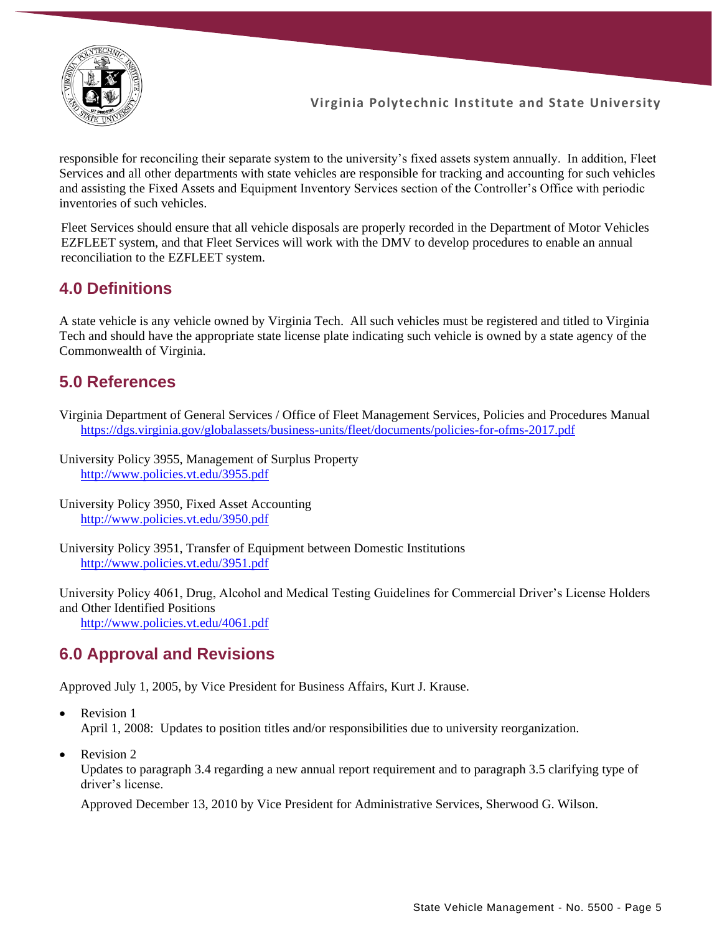

responsible for reconciling their separate system to the university's fixed assets system annually. In addition, Fleet Services and all other departments with state vehicles are responsible for tracking and accounting for such vehicles and assisting the Fixed Assets and Equipment Inventory Services section of the Controller's Office with periodic inventories of such vehicles.

Fleet Services should ensure that all vehicle disposals are properly recorded in the Department of Motor Vehicles EZFLEET system, and that Fleet Services will work with the DMV to develop procedures to enable an annual reconciliation to the EZFLEET system.

# **4.0 Definitions**

A state vehicle is any vehicle owned by Virginia Tech. All such vehicles must be registered and titled to Virginia Tech and should have the appropriate state license plate indicating such vehicle is owned by a state agency of the Commonwealth of Virginia.

# **5.0 References**

- Virginia Department of General Services / Office of Fleet Management Services, Policies and Procedures Manual <https://dgs.virginia.gov/globalassets/business-units/fleet/documents/policies-for-ofms-2017.pdf>
- University Policy 3955, Management of Surplus Property <http://www.policies.vt.edu/3955.pdf>
- University Policy 3950, Fixed Asset Accounting <http://www.policies.vt.edu/3950.pdf>
- University Policy 3951, Transfer of Equipment between Domestic Institutions <http://www.policies.vt.edu/3951.pdf>

University Policy 4061, Drug, Alcohol and Medical Testing Guidelines for Commercial Driver's License Holders and Other Identified Positions

<http://www.policies.vt.edu/4061.pdf>

# **6.0 Approval and Revisions**

Approved July 1, 2005, by Vice President for Business Affairs, Kurt J. Krause.

- Revision 1 April 1, 2008: Updates to position titles and/or responsibilities due to university reorganization.
- Revision 2

Updates to paragraph 3.4 regarding a new annual report requirement and to paragraph 3.5 clarifying type of driver's license.

Approved December 13, 2010 by Vice President for Administrative Services, Sherwood G. Wilson.